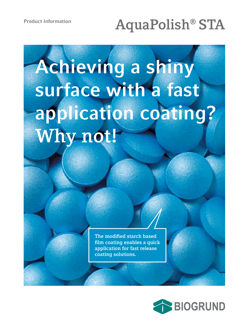# **AquaPolish® STA**

# **Achieving a shiny surface with a fast application coating? Why not!**

**The modified starch based film coating enables a quick application for fast release coating solutions.**